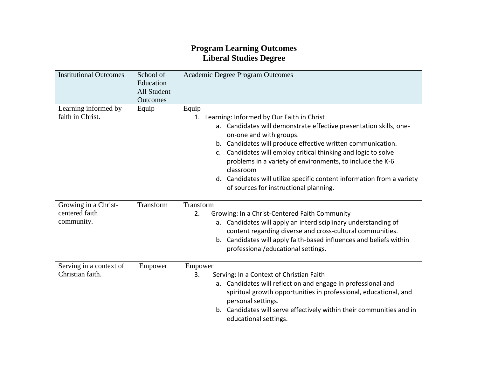## **Program Learning Outcomes Liberal Studies Degree**

| Outcomes<br>Equip | Equip<br>Learning: Informed by Our Faith in Christ<br>1.<br>a. Candidates will demonstrate effective presentation skills, one-                                                                                                                                                                                                                         |
|-------------------|--------------------------------------------------------------------------------------------------------------------------------------------------------------------------------------------------------------------------------------------------------------------------------------------------------------------------------------------------------|
|                   |                                                                                                                                                                                                                                                                                                                                                        |
|                   | on-one and with groups.<br>b. Candidates will produce effective written communication.<br>c. Candidates will employ critical thinking and logic to solve<br>problems in a variety of environments, to include the K-6<br>classroom<br>d. Candidates will utilize specific content information from a variety<br>of sources for instructional planning. |
| Transform         | Transform                                                                                                                                                                                                                                                                                                                                              |
|                   | Growing: In a Christ-Centered Faith Community<br>2.<br>a. Candidates will apply an interdisciplinary understanding of<br>content regarding diverse and cross-cultural communities.<br>b. Candidates will apply faith-based influences and beliefs within<br>professional/educational settings.                                                         |
| Empower           | Empower                                                                                                                                                                                                                                                                                                                                                |
|                   | Serving: In a Context of Christian Faith<br>3.<br>a. Candidates will reflect on and engage in professional and<br>spiritual growth opportunities in professional, educational, and<br>personal settings.<br>b. Candidates will serve effectively within their communities and in                                                                       |
|                   |                                                                                                                                                                                                                                                                                                                                                        |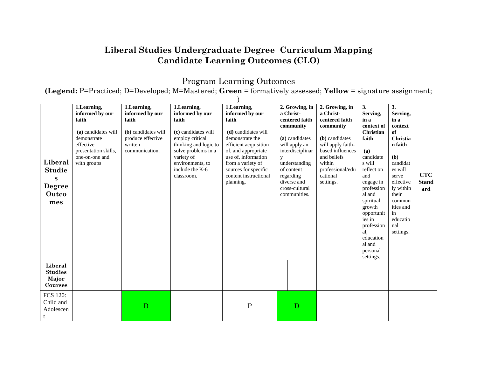## **Liberal Studies Undergraduate Degree Curriculum Mapping Candidate Learning Outcomes (CLO)**

Program Learning Outcomes

**(Legend:** P=Practiced; D=Developed; M=Mastered; **Green** = formatively assessed; **Yellow** = signature assignment;

| Liberal<br><b>Studie</b><br>$\mathbf{s}$<br><b>Degree</b><br>Outco<br>mes | 1.Learning,<br>informed by our<br>faith<br>(a) candidates will<br>demonstrate<br>effective<br>presentation skills,<br>one-on-one and<br>with groups | 1.Learning,<br>informed by our<br>faith<br>(b) candidates will<br>produce effective<br>written<br>communication. | 1.Learning,<br>informed by our<br>faith<br>(c) candidates will<br>employ critical<br>thinking and logic to<br>solve problems in a<br>variety of<br>environments, to<br>include the K-6<br>classroom. | 1.Learning,<br>informed by our<br>faith<br>(d) candidates will<br>demonstrate the<br>efficient acquisition<br>of, and appropriate<br>use of, information<br>from a variety of<br>sources for specific<br>content instructional<br>planning. | 2. Growing, in<br>a Christ-<br>centered faith<br>community<br>(a) candidates<br>will apply an<br>interdisciplinar<br>y<br>understanding<br>of content<br>regarding<br>diverse and<br>cross-cultural<br>communities. | 2. Growing, in<br>a Christ-<br>centered faith<br>community<br>(b) candidates<br>will apply faith-<br>based influences<br>and beliefs<br>within<br>professional/edu<br>cational<br>settings. | 3.<br>Serving,<br>in a<br>context of<br>Christian<br>faith<br>(a)<br>candidate<br>s will<br>reflect on<br>and<br>engage in<br>profession<br>al and<br>spiritual<br>growth<br>opportunit<br>ies in<br>profession<br>al.<br>education<br>al and<br>personal<br>settings. | 3.<br>Serving,<br>in a<br>context<br>of<br><b>Christia</b><br>n faith<br>(b)<br>candidat<br>es will<br>serve<br>effective<br>ly within<br>their<br>commun<br>ities and<br>in<br>educatio<br>nal<br>settings. | <b>CTC</b><br><b>Stand</b><br>ard |
|---------------------------------------------------------------------------|-----------------------------------------------------------------------------------------------------------------------------------------------------|------------------------------------------------------------------------------------------------------------------|------------------------------------------------------------------------------------------------------------------------------------------------------------------------------------------------------|---------------------------------------------------------------------------------------------------------------------------------------------------------------------------------------------------------------------------------------------|---------------------------------------------------------------------------------------------------------------------------------------------------------------------------------------------------------------------|---------------------------------------------------------------------------------------------------------------------------------------------------------------------------------------------|------------------------------------------------------------------------------------------------------------------------------------------------------------------------------------------------------------------------------------------------------------------------|--------------------------------------------------------------------------------------------------------------------------------------------------------------------------------------------------------------|-----------------------------------|
| Liberal<br><b>Studies</b><br>Major<br>Courses                             |                                                                                                                                                     |                                                                                                                  |                                                                                                                                                                                                      |                                                                                                                                                                                                                                             |                                                                                                                                                                                                                     |                                                                                                                                                                                             |                                                                                                                                                                                                                                                                        |                                                                                                                                                                                                              |                                   |
| <b>FCS 120:</b><br>Child and<br>Adolescen                                 |                                                                                                                                                     | D                                                                                                                |                                                                                                                                                                                                      | ${\bf P}$                                                                                                                                                                                                                                   | D                                                                                                                                                                                                                   |                                                                                                                                                                                             |                                                                                                                                                                                                                                                                        |                                                                                                                                                                                                              |                                   |

 $\lambda$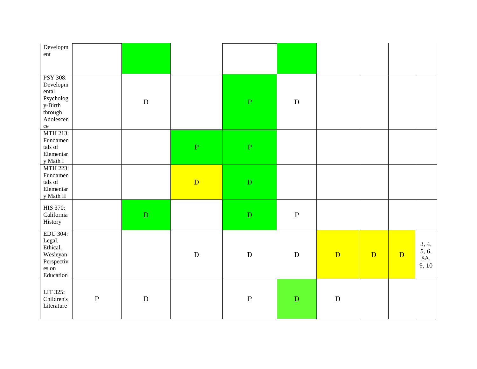| Developm<br>ent                                                                                             |         |           |                         |              |              |                |   |              |                                |
|-------------------------------------------------------------------------------------------------------------|---------|-----------|-------------------------|--------------|--------------|----------------|---|--------------|--------------------------------|
| PSY 308:<br>Developm<br>ental<br>Psycholog<br>y-Birth<br>$\operatorname{through}$<br>Adolescen<br>$\rm{ce}$ |         | ${\bf D}$ |                         | $\mathbf P$  | ${\bf D}$    |                |   |              |                                |
| MTH 213:<br>Fundamen<br>tals of<br>Elementar<br>y Math I                                                    |         |           | $\overline{\mathrm{P}}$ | $\mathbf P$  |              |                |   |              |                                |
| MTH 223:<br>Fundamen<br>tals of<br>Elementar<br>y Math II                                                   |         |           | D                       | ${\bf D}$    |              |                |   |              |                                |
| HIS 370:<br>California<br>History                                                                           |         | ${\bf D}$ |                         | ${\bf D}$    | $\, {\bf P}$ |                |   |              |                                |
| EDU 304:<br>Legal,<br>Ethical,<br>Wesleyan<br>Perspectiv<br>es on<br>Education                              |         |           | ${\bf D}$               | ${\bf D}$    | ${\bf D}$    | $\overline{D}$ | D | $\mathbf{D}$ | 3, 4,<br>5, 6,<br>8A,<br>9, 10 |
| LIT 325:<br>Children's<br>Literature                                                                        | $\rm P$ | ${\bf D}$ |                         | $\, {\bf P}$ | ${\bf D}$    | ${\bf D}$      |   |              |                                |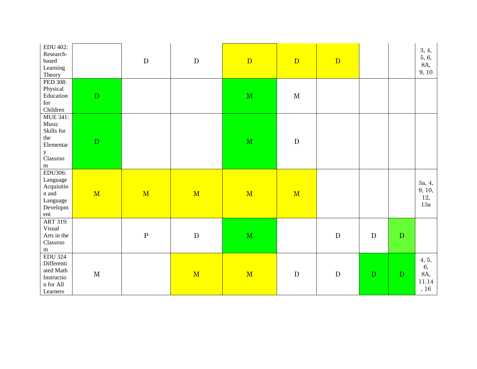| <b>EDU 402:</b><br>Research-<br>based<br>Learning<br>Theory                                         |             | ${\bf D}$ | ${\bf D}$ | $\mathbf{D}$            | $\mathbf{D}$ | $\mathbf{D}$ |              |             | 3, 4,<br>5, 6,<br>8A,<br>9, 10         |
|-----------------------------------------------------------------------------------------------------|-------------|-----------|-----------|-------------------------|--------------|--------------|--------------|-------------|----------------------------------------|
| PED 308:<br>Physical<br>Education<br>$\operatorname{for}$<br>Children                               | ${\bf D}$   |           |           | $\mathbf M$             | $\mathbf M$  |              |              |             |                                        |
| <b>MUE 341:</b><br>Music<br>Skills for<br>the<br>Elementar<br>$\mathbf{y}$<br>Classroo<br>${\bf m}$ | ${\bf D}$   |           |           | $\overline{\mathbf{M}}$ | ${\bf D}$    |              |              |             |                                        |
| EDU306:<br>Language<br>Acquisitio<br>n and<br>Language<br>Developm<br>ent                           | M           | M         | M         | M                       | M            |              |              |             | 3a, 4,<br>9, 10,<br>12,<br>13a         |
| ART 319:<br>Visual<br>Arts in the<br>Classroo<br>${\bf m}$                                          |             | ${\bf P}$ | ${\bf D}$ | $\mathbf M$             |              | ${\bf D}$    | D            | $\mathbf D$ |                                        |
| <b>EDU 324</b><br>Differenti<br>ated Math<br>Instructio<br>n for All<br>Learners                    | $\mathbf M$ |           | M         | M                       | ${\bf D}$    | ${\bf D}$    | $\mathbf{D}$ | ${\bf D}$   | 4, 5,<br>6,<br>8A,<br>11.14<br>$,\,16$ |